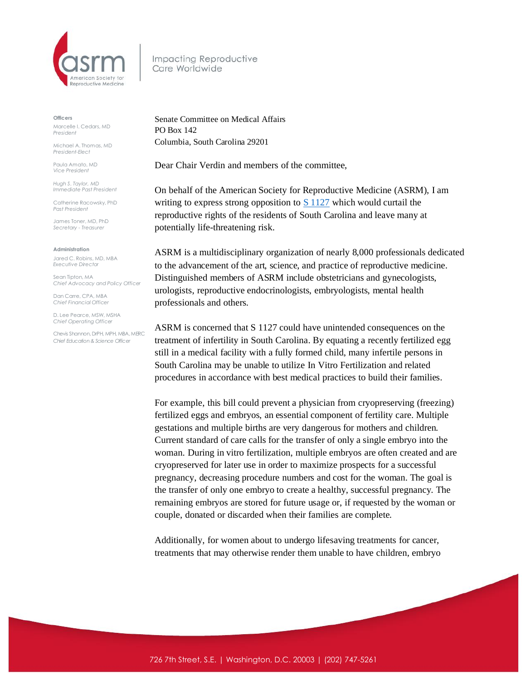

Impacting Reproductive Care Worldwide

**Officers**

Marcelle I. Cedars, MD *President*

Michael A. Thomas, MD *President-Elect*

Paula Amato, MD *Vice President*

*Hugh S. Taylor, MD Immediate Past President*

Catherine Racowsky, PhD *Past President*

James Toner, MD, PhD *Secretary - Treasurer* 

## **Administration**

Jared C. Robins, MD, MBA *Executive Director*

Sean Tipton, MA *Chief Advocacy and Policy Officer*

Dan Carre, CPA, MBA *Chief Financial Officer*

D. Lee Pearce, MSW, MSHA *Chief Operating Officer* 

Chevis Shannon, DrPH, MPH, MBA, MERC *Chief Education & Science Officer*

Senate Committee on Medical Affairs PO Box 142 Columbia, South Carolina 29201

Dear Chair Verdin and members of the committee,

On behalf of the American Society for Reproductive Medicine (ASRM), I am writing to express strong opposition to  $S$  1127 which would curtail the reproductive rights of the residents of South Carolina and leave many at potentially life-threatening risk.

ASRM is a multidisciplinary organization of nearly 8,000 professionals dedicated to the advancement of the art, science, and practice of reproductive medicine. Distinguished members of ASRM include obstetricians and gynecologists, urologists, reproductive endocrinologists, embryologists, mental health professionals and others.

ASRM is concerned that S 1127 could have unintended consequences on the treatment of infertility in South Carolina. By equating a recently fertilized egg still in a medical facility with a fully formed child, many infertile persons in South Carolina may be unable to utilize In Vitro Fertilization and related procedures in accordance with best medical practices to build their families.

For example, this bill could prevent a physician from cryopreserving (freezing) fertilized eggs and embryos, an essential component of fertility care. Multiple gestations and multiple births are very dangerous for mothers and children. Current standard of care calls for the transfer of only a single embryo into the woman. During in vitro fertilization, multiple embryos are often created and are cryopreserved for later use in order to maximize prospects for a successful pregnancy, decreasing procedure numbers and cost for the woman. The goal is the transfer of only one embryo to create a healthy, successful pregnancy. The remaining embryos are stored for future usage or, if requested by the woman or couple, donated or discarded when their families are complete.

Additionally, for women about to undergo lifesaving treatments for cancer, treatments that may otherwise render them unable to have children, embryo